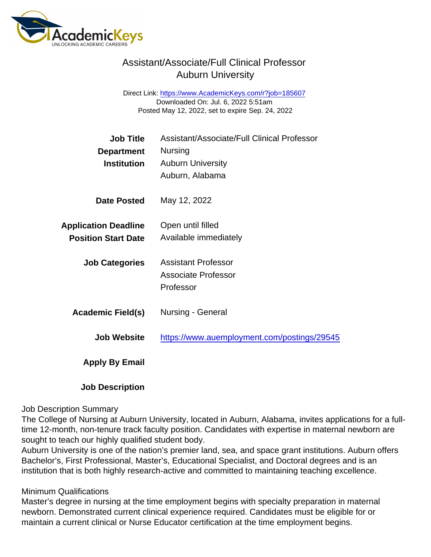# Assistant/Associate/Full Clinical Professor Auburn University

Direct Link: <https://www.AcademicKeys.com/r?job=185607> Downloaded On: Jul. 6, 2022 5:51am Posted May 12, 2022, set to expire Sep. 24, 2022

| Job Title                   | Assistant/Associate/Full Clinical Professor |
|-----------------------------|---------------------------------------------|
| Department                  | <b>Nursing</b>                              |
| Institution                 | <b>Auburn University</b>                    |
|                             | Auburn, Alabama                             |
| Date Posted                 | May 12, 2022                                |
| <b>Application Deadline</b> | Open until filled                           |
| <b>Position Start Date</b>  | Available immediately                       |
| <b>Job Categories</b>       | <b>Assistant Professor</b>                  |
|                             | <b>Associate Professor</b>                  |
|                             | Professor                                   |
| Academic Field(s)           | Nursing - General                           |
| <b>Job Website</b>          | https://www.auemployment.com/postings/29545 |
| Apply By Email              |                                             |
|                             |                                             |

### Job Description

### Job Description Summary

The College of Nursing at Auburn University, located in Auburn, Alabama, invites applications for a fulltime 12-month, non-tenure track faculty position. Candidates with expertise in maternal newborn are sought to teach our highly qualified student body.

Auburn University is one of the nation's premier land, sea, and space grant institutions. Auburn offers Bachelor's, First Professional, Master's, Educational Specialist, and Doctoral degrees and is an institution that is both highly research-active and committed to maintaining teaching excellence.

### Minimum Qualifications

Master's degree in nursing at the time employment begins with specialty preparation in maternal newborn. Demonstrated current clinical experience required. Candidates must be eligible for or maintain a current clinical or Nurse Educator certification at the time employment begins.